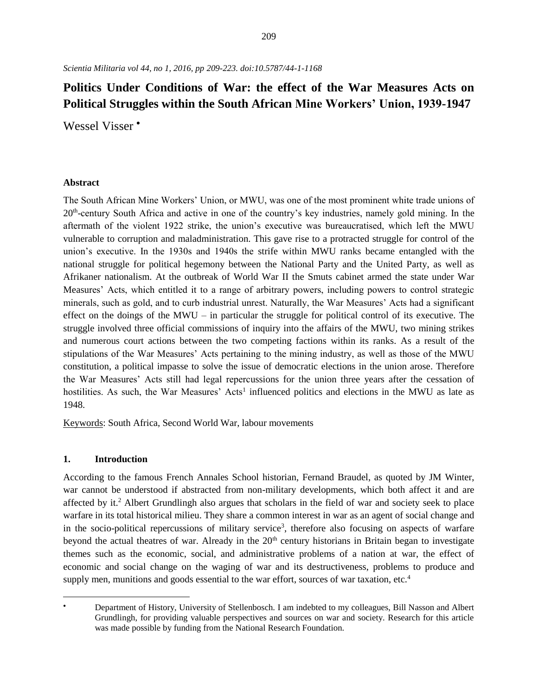# **Politics Under Conditions of War: the effect of the War Measures Acts on Political Struggles within the South African Mine Workers' Union, 1939-1947**

Wessel Visser \*

## **Abstract**

The South African Mine Workers' Union, or MWU, was one of the most prominent white trade unions of 20<sup>th</sup>-century South Africa and active in one of the country's key industries, namely gold mining. In the aftermath of the violent 1922 strike, the union's executive was bureaucratised, which left the MWU vulnerable to corruption and maladministration. This gave rise to a protracted struggle for control of the union's executive. In the 1930s and 1940s the strife within MWU ranks became entangled with the national struggle for political hegemony between the National Party and the United Party, as well as Afrikaner nationalism. At the outbreak of World War II the Smuts cabinet armed the state under War Measures' Acts, which entitled it to a range of arbitrary powers, including powers to control strategic minerals, such as gold, and to curb industrial unrest. Naturally, the War Measures' Acts had a significant effect on the doings of the MWU – in particular the struggle for political control of its executive. The struggle involved three official commissions of inquiry into the affairs of the MWU, two mining strikes and numerous court actions between the two competing factions within its ranks. As a result of the stipulations of the War Measures' Acts pertaining to the mining industry, as well as those of the MWU constitution, a political impasse to solve the issue of democratic elections in the union arose. Therefore the War Measures' Acts still had legal repercussions for the union three years after the cessation of hostilities. As such, the War Measures' Acts<sup>1</sup> influenced politics and elections in the MWU as late as 1948.

Keywords: South Africa, Second World War, labour movements

# **1. Introduction**

 $\overline{a}$ 

According to the famous French Annales School historian, Fernand Braudel, as quoted by JM Winter, war cannot be understood if abstracted from non-military developments, which both affect it and are affected by it.<sup>2</sup> Albert Grundlingh also argues that scholars in the field of war and society seek to place warfare in its total historical milieu. They share a common interest in war as an agent of social change and in the socio-political repercussions of military service<sup>3</sup>, therefore also focusing on aspects of warfare beyond the actual theatres of war. Already in the 20<sup>th</sup> century historians in Britain began to investigate themes such as the economic, social, and administrative problems of a nation at war, the effect of economic and social change on the waging of war and its destructiveness, problems to produce and supply men, munitions and goods essential to the war effort, sources of war taxation, etc.<sup>4</sup>

Department of History, University of Stellenbosch. I am indebted to my colleagues, Bill Nasson and Albert Grundlingh, for providing valuable perspectives and sources on war and society. Research for this article was made possible by funding from the National Research Foundation.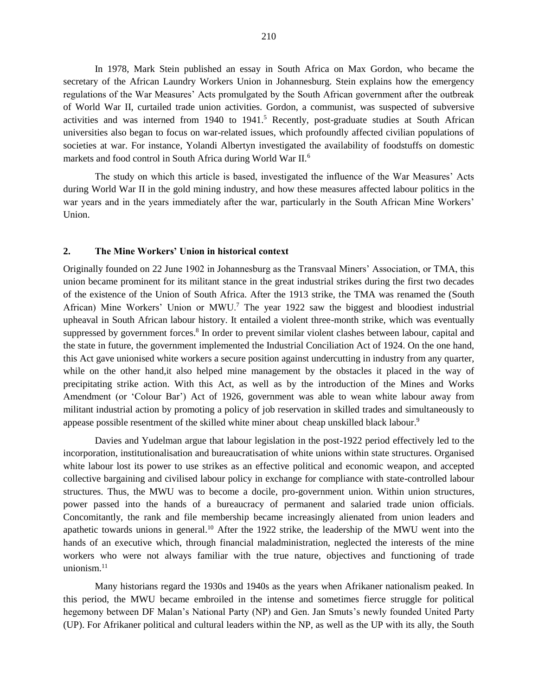In 1978, Mark Stein published an essay in South Africa on Max Gordon, who became the secretary of the African Laundry Workers Union in Johannesburg. Stein explains how the emergency regulations of the War Measures' Acts promulgated by the South African government after the outbreak of World War II, curtailed trade union activities. Gordon, a communist, was suspected of subversive activities and was interned from 1940 to 1941.<sup>5</sup> Recently, post-graduate studies at South African universities also began to focus on war-related issues, which profoundly affected civilian populations of societies at war. For instance, Yolandi Albertyn investigated the availability of foodstuffs on domestic markets and food control in South Africa during World War II.<sup>6</sup>

The study on which this article is based, investigated the influence of the War Measures' Acts during World War II in the gold mining industry, and how these measures affected labour politics in the war years and in the years immediately after the war, particularly in the South African Mine Workers' Union.

## **2. The Mine Workers' Union in historical context**

Originally founded on 22 June 1902 in Johannesburg as the Transvaal Miners' Association, or TMA, this union became prominent for its militant stance in the great industrial strikes during the first two decades of the existence of the Union of South Africa. After the 1913 strike, the TMA was renamed the (South African) Mine Workers' Union or MWU.<sup>7</sup> The year 1922 saw the biggest and bloodiest industrial upheaval in South African labour history. It entailed a violent three-month strike, which was eventually suppressed by government forces.<sup>8</sup> In order to prevent similar violent clashes between labour, capital and the state in future, the government implemented the Industrial Conciliation Act of 1924. On the one hand, this Act gave unionised white workers a secure position against undercutting in industry from any quarter, while on the other hand, it also helped mine management by the obstacles it placed in the way of precipitating strike action. With this Act, as well as by the introduction of the Mines and Works Amendment (or 'Colour Bar') Act of 1926, government was able to wean white labour away from militant industrial action by promoting a policy of job reservation in skilled trades and simultaneously to appease possible resentment of the skilled white miner about cheap unskilled black labour.<sup>9</sup>

Davies and Yudelman argue that labour legislation in the post-1922 period effectively led to the incorporation, institutionalisation and bureaucratisation of white unions within state structures. Organised white labour lost its power to use strikes as an effective political and economic weapon, and accepted collective bargaining and civilised labour policy in exchange for compliance with state-controlled labour structures. Thus, the MWU was to become a docile, pro-government union. Within union structures, power passed into the hands of a bureaucracy of permanent and salaried trade union officials. Concomitantly, the rank and file membership became increasingly alienated from union leaders and apathetic towards unions in general.<sup>10</sup> After the 1922 strike, the leadership of the MWU went into the hands of an executive which, through financial maladministration, neglected the interests of the mine workers who were not always familiar with the true nature, objectives and functioning of trade unionism. $11$ 

Many historians regard the 1930s and 1940s as the years when Afrikaner nationalism peaked. In this period, the MWU became embroiled in the intense and sometimes fierce struggle for political hegemony between DF Malan's National Party (NP) and Gen. Jan Smuts's newly founded United Party (UP). For Afrikaner political and cultural leaders within the NP, as well as the UP with its ally, the South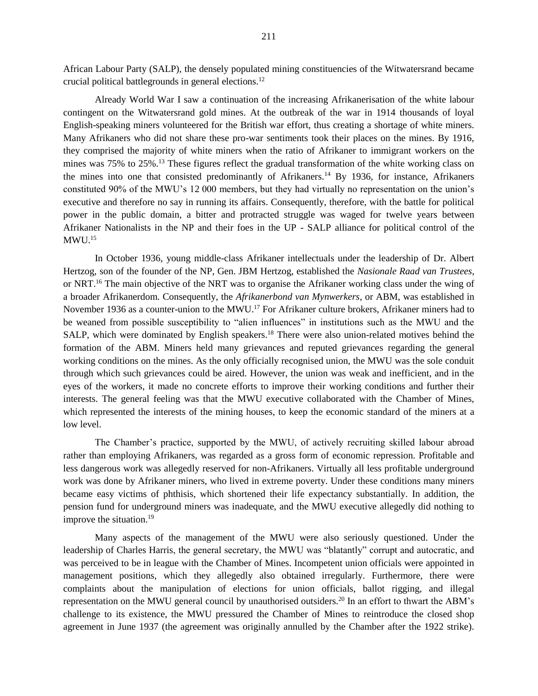African Labour Party (SALP), the densely populated mining constituencies of the Witwatersrand became crucial political battlegrounds in general elections.<sup>12</sup>

Already World War I saw a continuation of the increasing Afrikanerisation of the white labour contingent on the Witwatersrand gold mines. At the outbreak of the war in 1914 thousands of loyal English-speaking miners volunteered for the British war effort, thus creating a shortage of white miners. Many Afrikaners who did not share these pro-war sentiments took their places on the mines. By 1916, they comprised the majority of white miners when the ratio of Afrikaner to immigrant workers on the mines was 75% to 25%.<sup>13</sup> These figures reflect the gradual transformation of the white working class on the mines into one that consisted predominantly of Afrikaners.<sup>14</sup> By 1936, for instance, Afrikaners constituted 90% of the MWU's 12 000 members, but they had virtually no representation on the union's executive and therefore no say in running its affairs. Consequently, therefore, with the battle for political power in the public domain, a bitter and protracted struggle was waged for twelve years between Afrikaner Nationalists in the NP and their foes in the UP - SALP alliance for political control of the  $MWU.<sup>15</sup>$ 

In October 1936, young middle-class Afrikaner intellectuals under the leadership of Dr. Albert Hertzog, son of the founder of the NP, Gen. JBM Hertzog, established the *Nasionale Raad van Trustees*, or NRT.<sup>16</sup> The main objective of the NRT was to organise the Afrikaner working class under the wing of a broader Afrikanerdom. Consequently, the *Afrikanerbond van Mynwerkers*, or ABM, was established in November 1936 as a counter-union to the MWU.<sup>17</sup> For Afrikaner culture brokers, Afrikaner miners had to be weaned from possible susceptibility to "alien influences" in institutions such as the MWU and the SALP, which were dominated by English speakers.<sup>18</sup> There were also union-related motives behind the formation of the ABM. Miners held many grievances and reputed grievances regarding the general working conditions on the mines. As the only officially recognised union, the MWU was the sole conduit through which such grievances could be aired. However, the union was weak and inefficient, and in the eyes of the workers, it made no concrete efforts to improve their working conditions and further their interests. The general feeling was that the MWU executive collaborated with the Chamber of Mines, which represented the interests of the mining houses, to keep the economic standard of the miners at a low level.

The Chamber's practice, supported by the MWU, of actively recruiting skilled labour abroad rather than employing Afrikaners, was regarded as a gross form of economic repression. Profitable and less dangerous work was allegedly reserved for non-Afrikaners. Virtually all less profitable underground work was done by Afrikaner miners, who lived in extreme poverty. Under these conditions many miners became easy victims of phthisis, which shortened their life expectancy substantially. In addition, the pension fund for underground miners was inadequate, and the MWU executive allegedly did nothing to improve the situation.<sup>19</sup>

Many aspects of the management of the MWU were also seriously questioned. Under the leadership of Charles Harris, the general secretary, the MWU was "blatantly" corrupt and autocratic, and was perceived to be in league with the Chamber of Mines. Incompetent union officials were appointed in management positions, which they allegedly also obtained irregularly. Furthermore, there were complaints about the manipulation of elections for union officials, ballot rigging, and illegal representation on the MWU general council by unauthorised outsiders.<sup>20</sup> In an effort to thwart the ABM's challenge to its existence, the MWU pressured the Chamber of Mines to reintroduce the closed shop agreement in June 1937 (the agreement was originally annulled by the Chamber after the 1922 strike).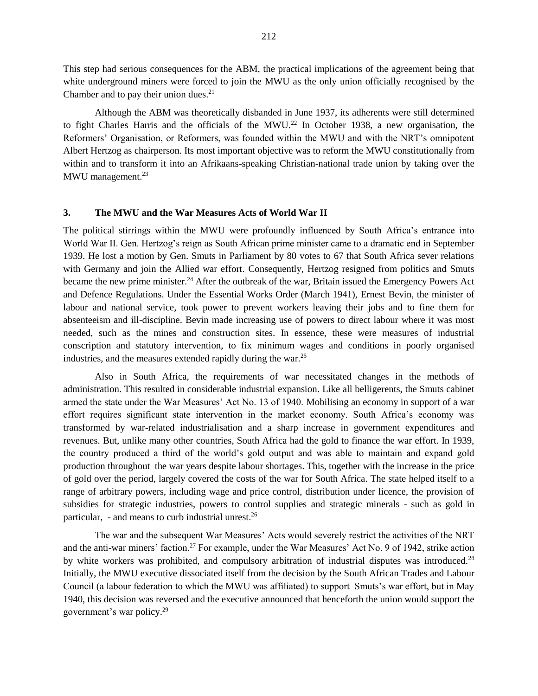This step had serious consequences for the ABM, the practical implications of the agreement being that white underground miners were forced to join the MWU as the only union officially recognised by the Chamber and to pay their union dues. $^{21}$ 

Although the ABM was theoretically disbanded in June 1937, its adherents were still determined to fight Charles Harris and the officials of the MWU.<sup>22</sup> In October 1938, a new organisation, the Reformers' Organisation, or Reformers, was founded within the MWU and with the NRT's omnipotent Albert Hertzog as chairperson. Its most important objective was to reform the MWU constitutionally from within and to transform it into an Afrikaans-speaking Christian-national trade union by taking over the MWU management.<sup>23</sup>

# **3. The MWU and the War Measures Acts of World War II**

The political stirrings within the MWU were profoundly influenced by South Africa's entrance into World War II. Gen. Hertzog's reign as South African prime minister came to a dramatic end in September 1939. He lost a motion by Gen. Smuts in Parliament by 80 votes to 67 that South Africa sever relations with Germany and join the Allied war effort. Consequently, Hertzog resigned from politics and Smuts became the new prime minister.<sup>24</sup> After the outbreak of the war, Britain issued the Emergency Powers Act and Defence Regulations. Under the Essential Works Order (March 1941), Ernest Bevin, the minister of labour and national service, took power to prevent workers leaving their jobs and to fine them for absenteeism and ill-discipline. Bevin made increasing use of powers to direct labour where it was most needed, such as the mines and construction sites. In essence, these were measures of industrial conscription and statutory intervention, to fix minimum wages and conditions in poorly organised industries, and the measures extended rapidly during the war.<sup>25</sup>

Also in South Africa, the requirements of war necessitated changes in the methods of administration. This resulted in considerable industrial expansion. Like all belligerents, the Smuts cabinet armed the state under the War Measures' Act No. 13 of 1940. Mobilising an economy in support of a war effort requires significant state intervention in the market economy. South Africa's economy was transformed by war-related industrialisation and a sharp increase in government expenditures and revenues. But, unlike many other countries, South Africa had the gold to finance the war effort. In 1939, the country produced a third of the world's gold output and was able to maintain and expand gold production throughout the war years despite labour shortages. This, together with the increase in the price of gold over the period, largely covered the costs of the war for South Africa. The state helped itself to a range of arbitrary powers, including wage and price control, distribution under licence, the provision of subsidies for strategic industries, powers to control supplies and strategic minerals - such as gold in particular, - and means to curb industrial unrest.<sup>26</sup>

The war and the subsequent War Measures' Acts would severely restrict the activities of the NRT and the anti-war miners' faction.<sup>27</sup> For example, under the War Measures' Act No. 9 of 1942, strike action by white workers was prohibited, and compulsory arbitration of industrial disputes was introduced.<sup>28</sup> Initially, the MWU executive dissociated itself from the decision by the South African Trades and Labour Council (a labour federation to which the MWU was affiliated) to support Smuts's war effort, but in May 1940, this decision was reversed and the executive announced that henceforth the union would support the government's war policy.29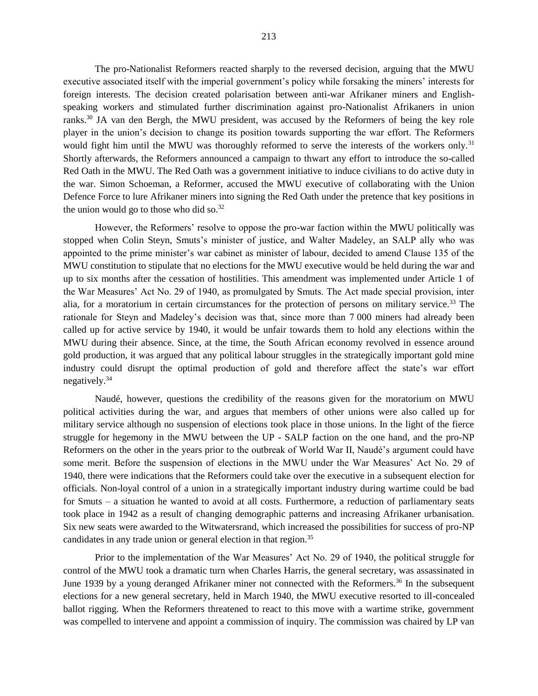The pro-Nationalist Reformers reacted sharply to the reversed decision, arguing that the MWU executive associated itself with the imperial government's policy while forsaking the miners' interests for foreign interests. The decision created polarisation between anti-war Afrikaner miners and Englishspeaking workers and stimulated further discrimination against pro-Nationalist Afrikaners in union ranks.<sup>30</sup> JA van den Bergh, the MWU president, was accused by the Reformers of being the key role player in the union's decision to change its position towards supporting the war effort. The Reformers would fight him until the MWU was thoroughly reformed to serve the interests of the workers only.<sup>31</sup> Shortly afterwards, the Reformers announced a campaign to thwart any effort to introduce the so-called Red Oath in the MWU. The Red Oath was a government initiative to induce civilians to do active duty in the war. Simon Schoeman, a Reformer, accused the MWU executive of collaborating with the Union Defence Force to lure Afrikaner miners into signing the Red Oath under the pretence that key positions in the union would go to those who did so. $32$ 

However, the Reformers' resolve to oppose the pro-war faction within the MWU politically was stopped when Colin Steyn, Smuts's minister of justice, and Walter Madeley, an SALP ally who was appointed to the prime minister's war cabinet as minister of labour, decided to amend Clause 135 of the MWU constitution to stipulate that no elections for the MWU executive would be held during the war and up to six months after the cessation of hostilities. This amendment was implemented under Article 1 of the War Measures' Act No. 29 of 1940, as promulgated by Smuts. The Act made special provision, inter alia, for a moratorium in certain circumstances for the protection of persons on military service.<sup>33</sup> The rationale for Steyn and Madeley's decision was that, since more than 7 000 miners had already been called up for active service by 1940, it would be unfair towards them to hold any elections within the MWU during their absence. Since, at the time, the South African economy revolved in essence around gold production, it was argued that any political labour struggles in the strategically important gold mine industry could disrupt the optimal production of gold and therefore affect the state's war effort negatively.<sup>34</sup>

Naudé, however, questions the credibility of the reasons given for the moratorium on MWU political activities during the war, and argues that members of other unions were also called up for military service although no suspension of elections took place in those unions. In the light of the fierce struggle for hegemony in the MWU between the UP - SALP faction on the one hand, and the pro-NP Reformers on the other in the years prior to the outbreak of World War II, Naudé's argument could have some merit. Before the suspension of elections in the MWU under the War Measures' Act No. 29 of 1940, there were indications that the Reformers could take over the executive in a subsequent election for officials. Non-loyal control of a union in a strategically important industry during wartime could be bad for Smuts – a situation he wanted to avoid at all costs. Furthermore, a reduction of parliamentary seats took place in 1942 as a result of changing demographic patterns and increasing Afrikaner urbanisation. Six new seats were awarded to the Witwatersrand, which increased the possibilities for success of pro-NP candidates in any trade union or general election in that region.<sup>35</sup>

Prior to the implementation of the War Measures' Act No. 29 of 1940, the political struggle for control of the MWU took a dramatic turn when Charles Harris, the general secretary, was assassinated in June 1939 by a young deranged Afrikaner miner not connected with the Reformers.<sup>36</sup> In the subsequent elections for a new general secretary, held in March 1940, the MWU executive resorted to ill-concealed ballot rigging. When the Reformers threatened to react to this move with a wartime strike, government was compelled to intervene and appoint a commission of inquiry. The commission was chaired by LP van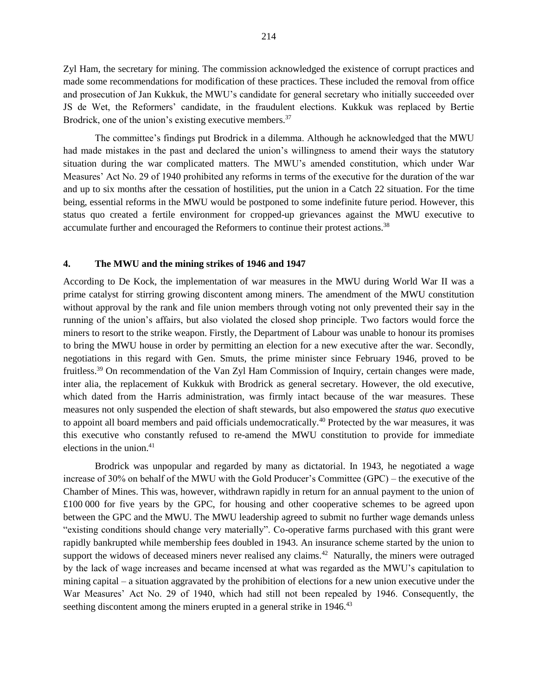Zyl Ham, the secretary for mining. The commission acknowledged the existence of corrupt practices and made some recommendations for modification of these practices. These included the removal from office and prosecution of Jan Kukkuk, the MWU's candidate for general secretary who initially succeeded over JS de Wet, the Reformers' candidate, in the fraudulent elections. Kukkuk was replaced by Bertie Brodrick, one of the union's existing executive members.<sup>37</sup>

The committee's findings put Brodrick in a dilemma. Although he acknowledged that the MWU had made mistakes in the past and declared the union's willingness to amend their ways the statutory situation during the war complicated matters. The MWU's amended constitution, which under War Measures' Act No. 29 of 1940 prohibited any reforms in terms of the executive for the duration of the war and up to six months after the cessation of hostilities, put the union in a Catch 22 situation. For the time being, essential reforms in the MWU would be postponed to some indefinite future period. However, this status quo created a fertile environment for cropped-up grievances against the MWU executive to accumulate further and encouraged the Reformers to continue their protest actions.<sup>38</sup>

## **4. The MWU and the mining strikes of 1946 and 1947**

According to De Kock, the implementation of war measures in the MWU during World War II was a prime catalyst for stirring growing discontent among miners. The amendment of the MWU constitution without approval by the rank and file union members through voting not only prevented their say in the running of the union's affairs, but also violated the closed shop principle. Two factors would force the miners to resort to the strike weapon. Firstly, the Department of Labour was unable to honour its promises to bring the MWU house in order by permitting an election for a new executive after the war. Secondly, negotiations in this regard with Gen. Smuts, the prime minister since February 1946, proved to be fruitless.<sup>39</sup> On recommendation of the Van Zyl Ham Commission of Inquiry, certain changes were made, inter alia*,* the replacement of Kukkuk with Brodrick as general secretary. However, the old executive, which dated from the Harris administration, was firmly intact because of the war measures. These measures not only suspended the election of shaft stewards, but also empowered the *status quo* executive to appoint all board members and paid officials undemocratically.<sup>40</sup> Protected by the war measures, it was this executive who constantly refused to re-amend the MWU constitution to provide for immediate elections in the union. $41$ 

Brodrick was unpopular and regarded by many as dictatorial. In 1943, he negotiated a wage increase of 30% on behalf of the MWU with the Gold Producer's Committee (GPC) – the executive of the Chamber of Mines. This was, however, withdrawn rapidly in return for an annual payment to the union of £100 000 for five years by the GPC, for housing and other cooperative schemes to be agreed upon between the GPC and the MWU. The MWU leadership agreed to submit no further wage demands unless "existing conditions should change very materially". Co-operative farms purchased with this grant were rapidly bankrupted while membership fees doubled in 1943. An insurance scheme started by the union to support the widows of deceased miners never realised any claims.<sup>42</sup> Naturally, the miners were outraged by the lack of wage increases and became incensed at what was regarded as the MWU's capitulation to mining capital – a situation aggravated by the prohibition of elections for a new union executive under the War Measures' Act No. 29 of 1940, which had still not been repealed by 1946. Consequently, the seething discontent among the miners erupted in a general strike in 1946.<sup>43</sup>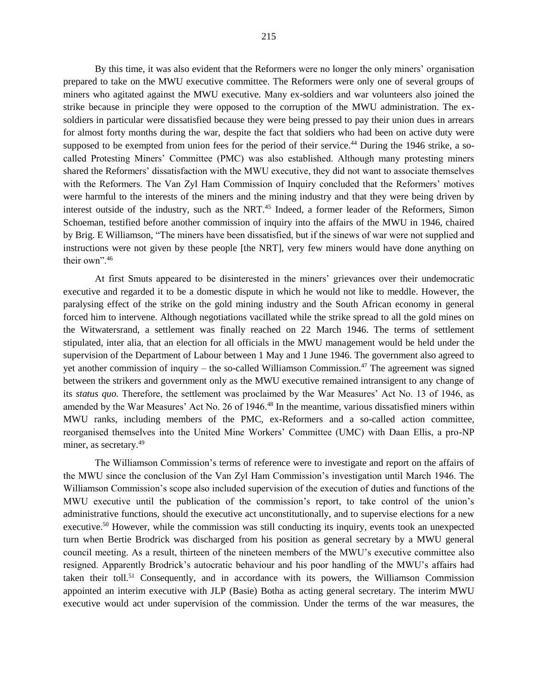By this time, it was also evident that the Reformers were no longer the only miners' organisation prepared to take on the MWU executive committee. The Reformers were only one of several groups of miners who agitated against the MWU executive. Many ex-soldiers and war volunteers also joined the strike because in principle they were opposed to the corruption of the MWU administration. The exsoldiers in particular were dissatisfied because they were being pressed to pay their union dues in arrears for almost forty months during the war, despite the fact that soldiers who had been on active duty were supposed to be exempted from union fees for the period of their service.<sup>44</sup> During the 1946 strike, a socalled Protesting Miners' Committee (PMC) was also established. Although many protesting miners shared the Reformers' dissatisfaction with the MWU executive, they did not want to associate themselves with the Reformers. The Van Zyl Ham Commission of Inquiry concluded that the Reformers' motives were harmful to the interests of the miners and the mining industry and that they were being driven by interest outside of the industry, such as the NRT.<sup>45</sup> Indeed, a former leader of the Reformers, Simon Schoeman, testified before another commission of inquiry into the affairs of the MWU in 1946, chaired by Brig. E Williamson, "The miners have been dissatisfied, but if the sinews of war were not supplied and instructions were not given by these people [the NRT], very few miners would have done anything on their own".<sup>46</sup>

At first Smuts appeared to be disinterested in the miners' grievances over their undemocratic executive and regarded it to be a domestic dispute in which he would not like to meddle. However, the paralysing effect of the strike on the gold mining industry and the South African economy in general forced him to intervene. Although negotiations vacillated while the strike spread to all the gold mines on the Witwatersrand, a settlement was finally reached on 22 March 1946. The terms of settlement stipulated, inter alia, that an election for all officials in the MWU management would be held under the supervision of the Department of Labour between 1 May and 1 June 1946. The government also agreed to yet another commission of inquiry – the so-called Williamson Commission.<sup>47</sup> The agreement was signed between the strikers and government only as the MWU executive remained intransigent to any change of its *status quo.* Therefore, the settlement was proclaimed by the War Measures' Act No. 13 of 1946, as amended by the War Measures' Act No. 26 of 1946.<sup>48</sup> In the meantime, various dissatisfied miners within MWU ranks, including members of the PMC, ex-Reformers and a so-called action committee, reorganised themselves into the United Mine Workers' Committee (UMC) with Daan Ellis, a pro-NP miner, as secretary.<sup>49</sup>

The Williamson Commission's terms of reference were to investigate and report on the affairs of the MWU since the conclusion of the Van Zyl Ham Commission's investigation until March 1946. The Williamson Commission's scope also included supervision of the execution of duties and functions of the MWU executive until the publication of the commission's report, to take control of the union's administrative functions, should the executive act unconstitutionally, and to supervise elections for a new executive.<sup>50</sup> However, while the commission was still conducting its inquiry, events took an unexpected turn when Bertie Brodrick was discharged from his position as general secretary by a MWU general council meeting. As a result, thirteen of the nineteen members of the MWU's executive committee also resigned. Apparently Brodrick's autocratic behaviour and his poor handling of the MWU's affairs had taken their toll.<sup>51</sup> Consequently, and in accordance with its powers, the Williamson Commission appointed an interim executive with JLP (Basie) Botha as acting general secretary. The interim MWU executive would act under supervision of the commission. Under the terms of the war measures, the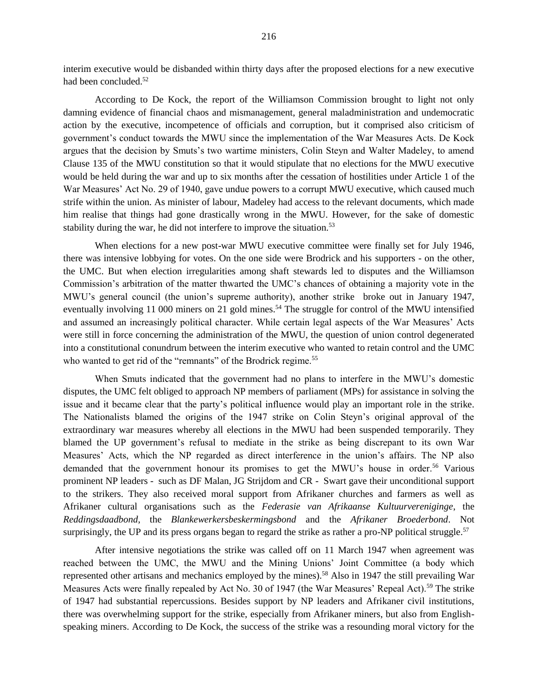interim executive would be disbanded within thirty days after the proposed elections for a new executive had been concluded.<sup>52</sup>

According to De Kock, the report of the Williamson Commission brought to light not only damning evidence of financial chaos and mismanagement, general maladministration and undemocratic action by the executive, incompetence of officials and corruption, but it comprised also criticism of government's conduct towards the MWU since the implementation of the War Measures Acts. De Kock argues that the decision by Smuts's two wartime ministers, Colin Steyn and Walter Madeley, to amend Clause 135 of the MWU constitution so that it would stipulate that no elections for the MWU executive would be held during the war and up to six months after the cessation of hostilities under Article 1 of the War Measures' Act No. 29 of 1940, gave undue powers to a corrupt MWU executive, which caused much strife within the union. As minister of labour, Madeley had access to the relevant documents, which made him realise that things had gone drastically wrong in the MWU. However, for the sake of domestic stability during the war, he did not interfere to improve the situation.<sup>53</sup>

When elections for a new post-war MWU executive committee were finally set for July 1946, there was intensive lobbying for votes. On the one side were Brodrick and his supporters - on the other, the UMC. But when election irregularities among shaft stewards led to disputes and the Williamson Commission's arbitration of the matter thwarted the UMC's chances of obtaining a majority vote in the MWU's general council (the union's supreme authority), another strike broke out in January 1947, eventually involving 11 000 miners on 21 gold mines.<sup>54</sup> The struggle for control of the MWU intensified and assumed an increasingly political character. While certain legal aspects of the War Measures' Acts were still in force concerning the administration of the MWU, the question of union control degenerated into a constitutional conundrum between the interim executive who wanted to retain control and the UMC who wanted to get rid of the "remnants" of the Brodrick regime.<sup>55</sup>

When Smuts indicated that the government had no plans to interfere in the MWU's domestic disputes, the UMC felt obliged to approach NP members of parliament (MPs) for assistance in solving the issue and it became clear that the party's political influence would play an important role in the strike. The Nationalists blamed the origins of the 1947 strike on Colin Steyn's original approval of the extraordinary war measures whereby all elections in the MWU had been suspended temporarily. They blamed the UP government's refusal to mediate in the strike as being discrepant to its own War Measures' Acts, which the NP regarded as direct interference in the union's affairs. The NP also demanded that the government honour its promises to get the MWU's house in order.<sup>56</sup> Various prominent NP leaders - such as DF Malan, JG Strijdom and CR - Swart gave their unconditional support to the strikers. They also received moral support from Afrikaner churches and farmers as well as Afrikaner cultural organisations such as the *Federasie van Afrikaanse Kultuurvereniginge*, the *Reddingsdaadbond*, the *Blankewerkersbeskermingsbond* and the *Afrikaner Broederbond*. Not surprisingly, the UP and its press organs began to regard the strike as rather a pro-NP political struggle.<sup>57</sup>

After intensive negotiations the strike was called off on 11 March 1947 when agreement was reached between the UMC, the MWU and the Mining Unions' Joint Committee (a body which represented other artisans and mechanics employed by the mines).<sup>58</sup> Also in 1947 the still prevailing War Measures Acts were finally repealed by Act No. 30 of 1947 (the War Measures' Repeal Act).<sup>59</sup> The strike of 1947 had substantial repercussions. Besides support by NP leaders and Afrikaner civil institutions, there was overwhelming support for the strike, especially from Afrikaner miners, but also from Englishspeaking miners. According to De Kock, the success of the strike was a resounding moral victory for the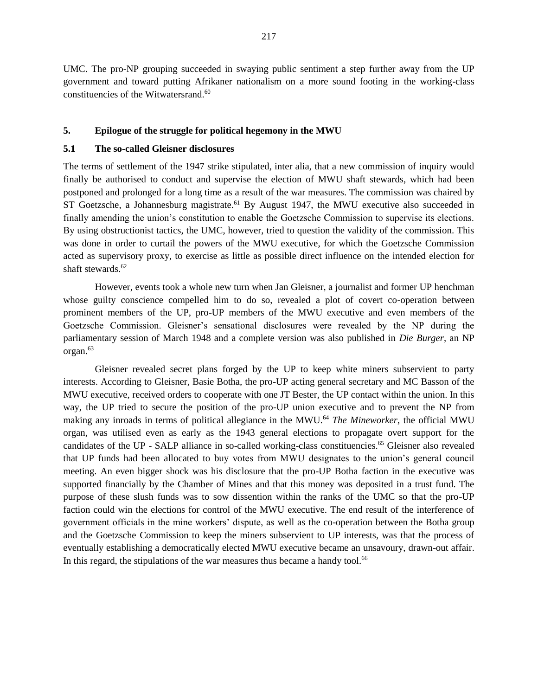UMC. The pro-NP grouping succeeded in swaying public sentiment a step further away from the UP government and toward putting Afrikaner nationalism on a more sound footing in the working-class constituencies of the Witwatersrand.<sup>60</sup>

## **5. Epilogue of the struggle for political hegemony in the MWU**

#### **5.1 The so-called Gleisner disclosures**

The terms of settlement of the 1947 strike stipulated, inter alia, that a new commission of inquiry would finally be authorised to conduct and supervise the election of MWU shaft stewards, which had been postponed and prolonged for a long time as a result of the war measures. The commission was chaired by ST Goetzsche, a Johannesburg magistrate.<sup>61</sup> By August 1947, the MWU executive also succeeded in finally amending the union's constitution to enable the Goetzsche Commission to supervise its elections. By using obstructionist tactics, the UMC, however, tried to question the validity of the commission. This was done in order to curtail the powers of the MWU executive, for which the Goetzsche Commission acted as supervisory proxy, to exercise as little as possible direct influence on the intended election for shaft stewards.<sup>62</sup>

However, events took a whole new turn when Jan Gleisner, a journalist and former UP henchman whose guilty conscience compelled him to do so, revealed a plot of covert co-operation between prominent members of the UP, pro-UP members of the MWU executive and even members of the Goetzsche Commission. Gleisner's sensational disclosures were revealed by the NP during the parliamentary session of March 1948 and a complete version was also published in *Die Burger*, an NP organ.<sup>63</sup>

Gleisner revealed secret plans forged by the UP to keep white miners subservient to party interests. According to Gleisner, Basie Botha, the pro-UP acting general secretary and MC Basson of the MWU executive, received orders to cooperate with one JT Bester, the UP contact within the union. In this way, the UP tried to secure the position of the pro-UP union executive and to prevent the NP from making any inroads in terms of political allegiance in the MWU.<sup>64</sup> *The Mineworker*, the official MWU organ, was utilised even as early as the 1943 general elections to propagate overt support for the candidates of the UP - SALP alliance in so-called working-class constituencies.<sup>65</sup> Gleisner also revealed that UP funds had been allocated to buy votes from MWU designates to the union's general council meeting. An even bigger shock was his disclosure that the pro-UP Botha faction in the executive was supported financially by the Chamber of Mines and that this money was deposited in a trust fund. The purpose of these slush funds was to sow dissention within the ranks of the UMC so that the pro-UP faction could win the elections for control of the MWU executive. The end result of the interference of government officials in the mine workers' dispute, as well as the co-operation between the Botha group and the Goetzsche Commission to keep the miners subservient to UP interests, was that the process of eventually establishing a democratically elected MWU executive became an unsavoury, drawn-out affair. In this regard, the stipulations of the war measures thus became a handy tool. $66$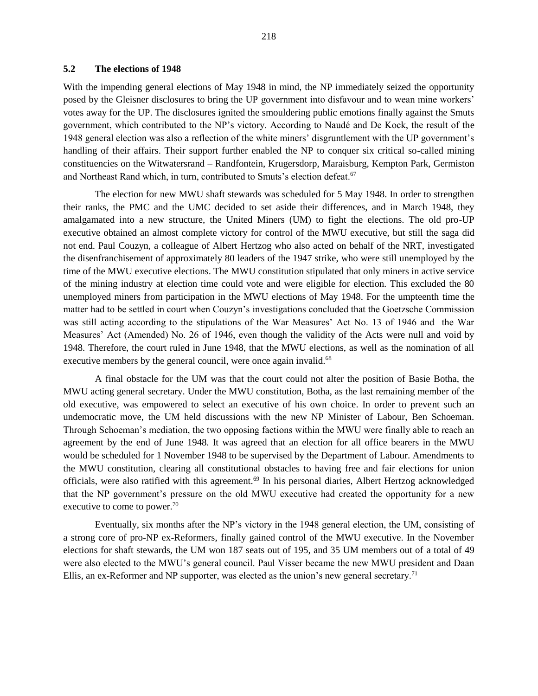## **5.2 The elections of 1948**

With the impending general elections of May 1948 in mind, the NP immediately seized the opportunity posed by the Gleisner disclosures to bring the UP government into disfavour and to wean mine workers' votes away for the UP. The disclosures ignited the smouldering public emotions finally against the Smuts government, which contributed to the NP's victory. According to Naudé and De Kock, the result of the 1948 general election was also a reflection of the white miners' disgruntlement with the UP government's handling of their affairs. Their support further enabled the NP to conquer six critical so-called mining constituencies on the Witwatersrand – Randfontein, Krugersdorp, Maraisburg, Kempton Park, Germiston and Northeast Rand which, in turn, contributed to Smuts's election defeat.<sup>67</sup>

The election for new MWU shaft stewards was scheduled for 5 May 1948. In order to strengthen their ranks, the PMC and the UMC decided to set aside their differences, and in March 1948, they amalgamated into a new structure, the United Miners (UM) to fight the elections. The old pro-UP executive obtained an almost complete victory for control of the MWU executive, but still the saga did not end. Paul Couzyn, a colleague of Albert Hertzog who also acted on behalf of the NRT, investigated the disenfranchisement of approximately 80 leaders of the 1947 strike, who were still unemployed by the time of the MWU executive elections. The MWU constitution stipulated that only miners in active service of the mining industry at election time could vote and were eligible for election. This excluded the 80 unemployed miners from participation in the MWU elections of May 1948. For the umpteenth time the matter had to be settled in court when Couzyn's investigations concluded that the Goetzsche Commission was still acting according to the stipulations of the War Measures' Act No. 13 of 1946 and the War Measures' Act (Amended) No. 26 of 1946, even though the validity of the Acts were null and void by 1948. Therefore, the court ruled in June 1948, that the MWU elections, as well as the nomination of all executive members by the general council, were once again invalid.<sup>68</sup>

A final obstacle for the UM was that the court could not alter the position of Basie Botha, the MWU acting general secretary. Under the MWU constitution, Botha, as the last remaining member of the old executive, was empowered to select an executive of his own choice. In order to prevent such an undemocratic move, the UM held discussions with the new NP Minister of Labour, Ben Schoeman. Through Schoeman's mediation, the two opposing factions within the MWU were finally able to reach an agreement by the end of June 1948. It was agreed that an election for all office bearers in the MWU would be scheduled for 1 November 1948 to be supervised by the Department of Labour. Amendments to the MWU constitution, clearing all constitutional obstacles to having free and fair elections for union officials, were also ratified with this agreement.<sup>69</sup> In his personal diaries, Albert Hertzog acknowledged that the NP government's pressure on the old MWU executive had created the opportunity for a new executive to come to power.<sup>70</sup>

Eventually, six months after the NP's victory in the 1948 general election, the UM, consisting of a strong core of pro-NP ex-Reformers, finally gained control of the MWU executive. In the November elections for shaft stewards, the UM won 187 seats out of 195, and 35 UM members out of a total of 49 were also elected to the MWU's general council. Paul Visser became the new MWU president and Daan Ellis, an ex-Reformer and NP supporter, was elected as the union's new general secretary.<sup>71</sup>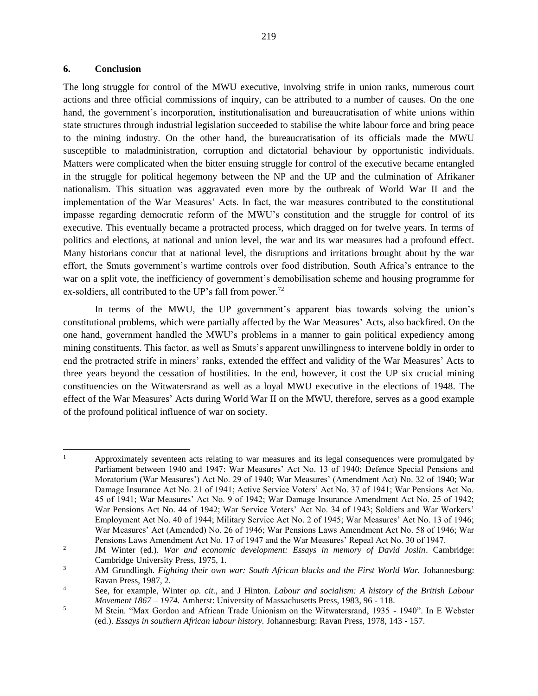The long struggle for control of the MWU executive, involving strife in union ranks, numerous court actions and three official commissions of inquiry, can be attributed to a number of causes. On the one hand, the government's incorporation, institutionalisation and bureaucratisation of white unions within state structures through industrial legislation succeeded to stabilise the white labour force and bring peace to the mining industry. On the other hand, the bureaucratisation of its officials made the MWU susceptible to maladministration, corruption and dictatorial behaviour by opportunistic individuals. Matters were complicated when the bitter ensuing struggle for control of the executive became entangled in the struggle for political hegemony between the NP and the UP and the culmination of Afrikaner nationalism. This situation was aggravated even more by the outbreak of World War II and the implementation of the War Measures' Acts. In fact, the war measures contributed to the constitutional impasse regarding democratic reform of the MWU's constitution and the struggle for control of its executive. This eventually became a protracted process, which dragged on for twelve years. In terms of politics and elections, at national and union level, the war and its war measures had a profound effect. Many historians concur that at national level, the disruptions and irritations brought about by the war effort, the Smuts government's wartime controls over food distribution, South Africa's entrance to the war on a split vote, the inefficiency of government's demobilisation scheme and housing programme for ex-soldiers, all contributed to the UP's fall from power.<sup>72</sup>

In terms of the MWU, the UP government's apparent bias towards solving the union's constitutional problems, which were partially affected by the War Measures' Acts, also backfired. On the one hand, government handled the MWU's problems in a manner to gain political expediency among mining constituents. This factor, as well as Smuts's apparent unwillingness to intervene boldly in order to end the protracted strife in miners' ranks, extended the efffect and validity of the War Measures' Acts to three years beyond the cessation of hostilities. In the end, however, it cost the UP six crucial mining constituencies on the Witwatersrand as well as a loyal MWU executive in the elections of 1948. The effect of the War Measures' Acts during World War II on the MWU, therefore, serves as a good example of the profound political influence of war on society.

 $\mathbf{1}$ <sup>1</sup> Approximately seventeen acts relating to war measures and its legal consequences were promulgated by Parliament between 1940 and 1947: War Measures' Act No. 13 of 1940; Defence Special Pensions and Moratorium (War Measures') Act No. 29 of 1940; War Measures' (Amendment Act) No. 32 of 1940; War Damage Insurance Act No. 21 of 1941; Active Service Voters' Act No. 37 of 1941; War Pensions Act No. 45 of 1941; War Measures' Act No. 9 of 1942; War Damage Insurance Amendment Act No. 25 of 1942; War Pensions Act No. 44 of 1942; War Service Voters' Act No. 34 of 1943; Soldiers and War Workers' Employment Act No. 40 of 1944; Military Service Act No. 2 of 1945; War Measures' Act No. 13 of 1946; War Measures' Act (Amended) No. 26 of 1946; War Pensions Laws Amendment Act No. 58 of 1946; War Pensions Laws Amendment Act No. 17 of 1947 and the War Measures' Repeal Act No. 30 of 1947.

<sup>2</sup> JM Winter (ed.). *War and economic development: Essays in memory of David Joslin*. Cambridge: Cambridge University Press, 1975, 1.

<sup>&</sup>lt;sup>3</sup> AM Grundlingh. *Fighting their own war: South African blacks and the First World War. Johannesburg:* Ravan Press, 1987, 2.

<sup>4</sup> See, for example, Winter *op. cit.*, and J Hinton. *Labour and socialism: A history of the British Labour Movement 1867 – 1974.* Amherst: University of Massachusetts Press, 1983, 96 - 118.

<sup>5</sup> M Stein. "Max Gordon and African Trade Unionism on the Witwatersrand, 1935 - 1940". In E Webster (ed.). *Essays in southern African labour history.* Johannesburg: Ravan Press, 1978, 143 - 157.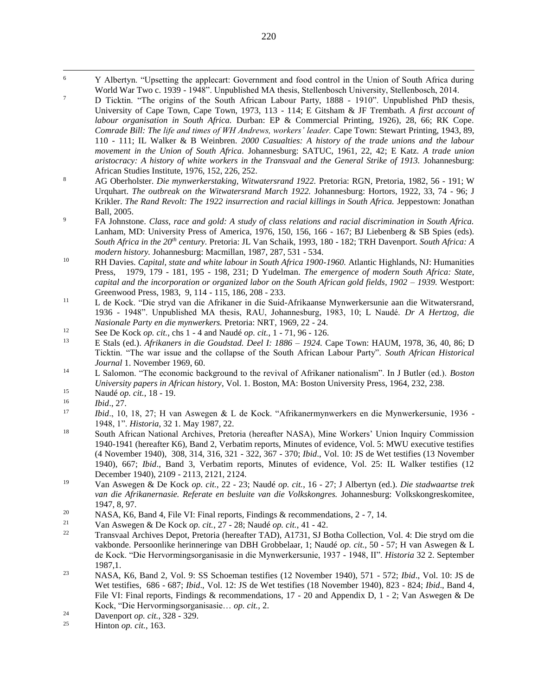- <sup>7</sup> D Ticktin. "The origins of the South African Labour Party, 1888 1910". Unpublished PhD thesis, University of Cape Town, Cape Town, 1973, 113 - 114; E Gitsham & JF Trembath. *A first account of labour organisation in South Africa.* Durban: EP & Commercial Printing, 1926), 28, 66; RK Cope. *Comrade Bill: The life and times of WH Andrews, workers' leader.* Cape Town: Stewart Printing, 1943, 89, 110 - 111; IL Walker & B Weinbren. *2000 Casualties: A history of the trade unions and the labour movement in the Union of South Africa.* Johannesburg: SATUC, 1961, 22, 42; E Katz. *A trade union aristocracy: A history of white workers in the Transvaal and the General Strike of 1913.* Johannesburg: African Studies Institute, 1976, 152, 226, 252.
- <sup>8</sup> AG Oberholster. *Die mynwerkerstaking, Witwatersrand 1922.* Pretoria: RGN, Pretoria, 1982, 56 191; W Urquhart. *The outbreak on the Witwatersrand March 1922.* Johannesburg: Hortors, 1922, 33, 74 - 96; J Krikler. *The Rand Revolt: The 1922 insurrection and racial killings in South Africa. Jeppestown: Jonathan* Ball, 2005.
- <sup>9</sup> FA Johnstone. *Class, race and gold: A study of class relations and racial discrimination in South Africa.*  Lanham, MD: University Press of America, 1976, 150, 156, 166 - 167; BJ Liebenberg & SB Spies (eds). *South Africa in the 20th century.* Pretoria: JL Van Schaik, 1993, 180 - 182; TRH Davenport. *South Africa: A modern history.* Johannesburg: Macmillan, 1987, 287, 531 - 534.
- <sup>10</sup> RH Davies. *Capital, state and white labour in South Africa 1900-1960*. Atlantic Highlands, NJ: Humanities Press, 1979, 179 - 181, 195 - 198, 231; D Yudelman. *The emergence of modern South Africa: State, capital and the incorporation or organized labor on the South African gold fields, 1902 – 1939.* Westport: Greenwood Press, 1983, 9, 114 - 115, 186, 208 - 233.
- <sup>11</sup> L de Kock. "Die stryd van die Afrikaner in die Suid-Afrikaanse Mynwerkersunie aan die Witwatersrand, 1936 - 1948". Unpublished MA thesis, RAU, Johannesburg, 1983, 10; L Naudé. *Dr A Hertzog, die Nasionale Party en die mynwerkers.* Pretoria: NRT, 1969, 22 - 24.
- <sup>12</sup> See De Kock *op. cit.*, chs 1 4 and Naudé *op. cit.*, 1 71, 96 126.
- <sup>13</sup> E Stals (ed.). *Afrikaners in die Goudstad. Deel I: 1886 – 1924.* Cape Town: HAUM, 1978, 36, 40, 86; D Ticktin. "The war issue and the collapse of the South African Labour Party". *South African Historical Journal* 1. November 1969, 60.
- <sup>14</sup> L Salomon. "The economic background to the revival of Afrikaner nationalism". In J Butler (ed.). *Boston University papers in African history*, Vol. 1. Boston, MA: Boston University Press, 1964, 232, 238.
- <sup>15</sup> Naudé *op. cit.*, 18 19.
- <sup>16</sup> *Ibid*., 27.
- <sup>17</sup> *Ibid*., 10, 18, 27; H van Aswegen & L de Kock. "Afrikanermynwerkers en die Mynwerkersunie, 1936 1948, 1". *Historia*, 32 1. May 1987, 22.
- <sup>18</sup> South African National Archives, Pretoria (hereafter NASA), Mine Workers' Union Inquiry Commission 1940-1941 (hereafter K6), Band 2, Verbatim reports, Minutes of evidence, Vol. 5: MWU executive testifies (4 November 1940), 308, 314, 316, 321 - 322, 367 - 370; *Ibid*., Vol. 10: JS de Wet testifies (13 November 1940), 667; *Ibid*., Band 3, Verbatim reports, Minutes of evidence, Vol. 25: IL Walker testifies (12 December 1940), 2109 - 2113, 2121, 2124.
- <sup>19</sup> Van Aswegen & De Kock *op. cit.*, 22 23; Naudé *op. cit.*, 16 27; J Albertyn (ed.). *Die stadwaartse trek van die Afrikanernasie. Referate en besluite van die Volkskongres.* Johannesburg: Volkskongreskomitee, 1947, 8, 97.
- <sup>20</sup> NASA, K6, Band 4, File VI: Final reports, Findings & recommendations,  $2 7$ , 14.
- <sup>21</sup> Van Aswegen & De Kock *op. cit.*, 27 28; Naudé *op. cit.*, 41 42.
- <sup>22</sup> Transvaal Archives Depot, Pretoria (hereafter TAD), A1731, SJ Botha Collection, Vol. 4: Die stryd om die vakbonde. Persoonlike herinneringe van DBH Grobbelaar, 1; Naudé *op. cit.*, 50 - 57; H van Aswegen & L de Kock. "Die Hervormingsorganisasie in die Mynwerkersunie, 1937 - 1948, II". *Historia* 32 2. September 1987,1.
- <sup>23</sup> NASA, K6, Band 2, Vol. 9: SS Schoeman testifies (12 November 1940), 571 572; *Ibid*., Vol. 10: JS de Wet testifies, 686 - 687; *Ibid*., Vol. 12: JS de Wet testifies (18 November 1940), 823 - 824; *Ibid*., Band 4, File VI: Final reports, Findings & recommendations, 17 - 20 and Appendix D, 1 - 2; Van Aswegen & De Kock, "Die Hervormingsorganisasie… *op. cit.,* 2.
- <sup>24</sup> Davenport *op. cit.*, 328 329.<br>
Hinton *op. cit.* 163
- <sup>25</sup> Hinton *op. cit.*, 163.

 $\overline{6}$ <sup>6</sup> Y Albertyn. "Upsetting the applecart: Government and food control in the Union of South Africa during World War Two c. 1939 - 1948". Unpublished MA thesis, Stellenbosch University, Stellenbosch, 2014.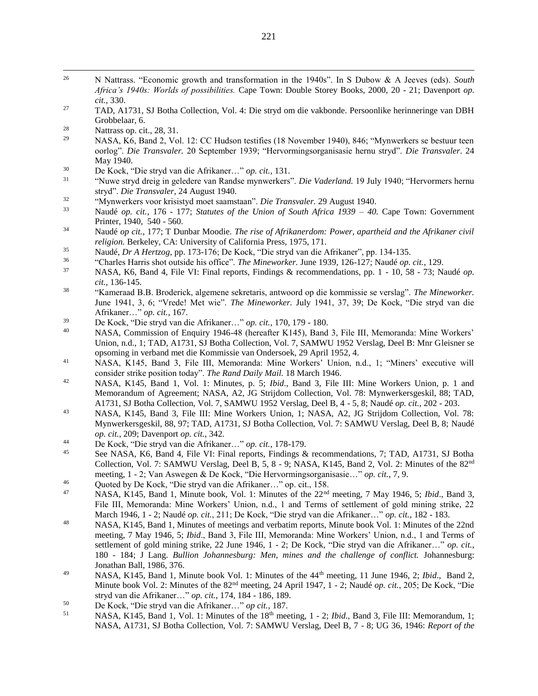- $26\overline{)}$ <sup>26</sup> N Nattrass. "Economic growth and transformation in the 1940s". In S Dubow & A Jeeves (eds). *South Africa's 1940s: Worlds of possibilities.* Cape Town: Double Storey Books, 2000, 20 - 21; Davenport *op. cit.*, 330.
- <sup>27</sup> TAD, A1731, SJ Botha Collection, Vol. 4: Die stryd om die vakbonde. Persoonlike herinneringe van DBH Grobbelaar, 6.
- <sup>28</sup> Nattrass op. cit., 28, 31.<br><sup>29</sup> NASA *V*<sub>C</sub> Dand 2 Vol
- <sup>29</sup> NASA, K6, Band 2, Vol. 12: CC Hudson testifies (18 November 1940), 846; "Mynwerkers se bestuur teen oorlog". *Die Transvaler.* 20 September 1939; "Hervormingsorganisasie hernu stryd". *Die Transvaler*. 24 May 1940.
- <sup>30</sup> De Kock, "Die stryd van die Afrikaner…" *op. cit.*, 131.
- <sup>31</sup> "Nuwe stryd dreig in geledere van Randse mynwerkers". *Die Vaderland.* 19 July 1940; "Hervormers hernu stryd". *Die Transvaler*, 24 August 1940.
- 32 "Mynwerkers voor krisistyd moet saamstaan". *Die Transvaler.* 29 August 1940.
- <sup>33</sup> Naudé *op. cit.*, 176 177; *Statutes of the Union of South Africa 1939 – 40.* Cape Town: Government Printer, 1940, 540 - 560.
- <sup>34</sup> Naudé *op cit.*, 177; T Dunbar Moodie. *The rise of Afrikanerdom: Power, apartheid and the Afrikaner civil religion.* Berkeley, CA: University of California Press, 1975, 171.
- <sup>35</sup> Naudé, *Dr A Hertzog*, pp. 173-176; De Kock, "Die stryd van die Afrikaner", pp. 134-135.
- 36 "Charles Harris shot outside his office". *The Mineworker.* June 1939, 126-127; Naudé *op. cit.*, 129.
- <sup>37</sup> NASA, K6, Band 4, File VI: Final reports, Findings & recommendations, pp. 1 10, 58 73; Naudé *op. cit.*, 136-145.
- 38 "Kameraad B.B. Broderick, algemene sekretaris, antwoord op die kommissie se verslag". *The Mineworker.* June 1941, 3, 6; "Vrede! Met wie". *The Mineworker.* July 1941, 37, 39; De Kock, "Die stryd van die Afrikaner…" *op. cit.*, 167.
- <sup>39</sup> De Kock, "Die stryd van die Afrikaner…" *op. cit.*, 170, 179 180.
- <sup>40</sup> NASA, Commission of Enquiry 1946-48 (hereafter K145), Band 3, File III, Memoranda: Mine Workers' Union, n.d., 1; TAD, A1731, SJ Botha Collection, Vol. 7, SAMWU 1952 Verslag, Deel B: Mnr Gleisner se opsoming in verband met die Kommissie van Ondersoek, 29 April 1952, 4.
- <sup>41</sup> NASA, K145, Band 3, File III, Memoranda: Mine Workers' Union, n.d., 1; "Miners' executive will consider strike position today". *The Rand Daily Mail.* 18 March 1946.
- <sup>42</sup> NASA, K145, Band 1, Vol. 1: Minutes, p. 5; *Ibid*., Band 3, File III: Mine Workers Union, p. 1 and Memorandum of Agreement; NASA, A2, JG Strijdom Collection, Vol. 78: Mynwerkersgeskil, 88; TAD, A1731, SJ Botha Collection, Vol. 7, SAMWU 1952 Verslag, Deel B, 4 - 5, 8; Naudé *op. cit.*, 202 - 203.
- <sup>43</sup> NASA, K145, Band 3, File III: Mine Workers Union, 1; NASA, A2, JG Strijdom Collection, Vol. 78: Mynwerkersgeskil, 88, 97; TAD, A1731, SJ Botha Collection, Vol. 7: SAMWU Verslag, Deel B, 8; Naudé *op. cit.*, 209; Davenport *op. cit.*, 342.
- <sup>44</sup> De Kock, "Die stryd van die Afrikaner…" *op. cit.*, 178-179.
- <sup>45</sup> See NASA, K6, Band 4, File VI: Final reports, Findings & recommendations, 7; TAD, A1731, SJ Botha Collection, Vol. 7: SAMWU Verslag, Deel B, 5, 8 - 9; NASA, K145, Band 2, Vol. 2: Minutes of the 82nd meeting, 1 - 2; Van Aswegen & De Kock, "Die Hervormingsorganisasie…" *op. cit.*, 7, 9.
- <sup>46</sup> Quoted by De Kock, "Die stryd van die Afrikaner…" op. cit., 158.
- NASA, K145, Band 1, Minute book, Vol. 1: Minutes of the 22<sup>nd</sup> meeting, 7 May 1946, 5; *Ibid.*, Band 3, File III, Memoranda: Mine Workers' Union, n.d., 1 and Terms of settlement of gold mining strike, 22 March 1946, 1 - 2; Naudé *op. cit.*, 211; De Kock, "Die stryd van die Afrikaner…" *op. cit.*, 182 - 183.
- <sup>48</sup> NASA, K145, Band 1, Minutes of meetings and verbatim reports, Minute book Vol. 1: Minutes of the 22nd meeting, 7 May 1946, 5; *Ibid*., Band 3, File III, Memoranda: Mine Workers' Union, n.d., 1 and Terms of settlement of gold mining strike, 22 June 1946, 1 - 2; De Kock, "Die stryd van die Afrikaner…" *op. cit.*, 180 - 184; J Lang. *Bullion Johannesburg: Men, mines and the challenge of conflict.* Johannesburg: Jonathan Ball, 1986, 376.
- <sup>49</sup> NASA, K145, Band 1, Minute book Vol. 1: Minutes of the 44th meeting, 11 June 1946, 2; *Ibid*., Band 2, Minute book Vol. 2: Minutes of the 82nd meeting, 24 April 1947, 1 - 2; Naudé *op. cit.*, 205; De Kock, "Die stryd van die Afrikaner…" *op. cit.*, 174, 184 - 186, 189.
- <sup>50</sup> De Kock, "Die stryd van die Afrikaner…" *op cit.*, 187.
- NASA, K145, Band 1, Vol. 1: Minutes of the 18<sup>th</sup> meeting, 1 2; *Ibid.*, Band 3, File III: Memorandum, 1; NASA, A1731, SJ Botha Collection, Vol. 7: SAMWU Verslag, Deel B, 7 - 8; UG 36, 1946: *Report of the*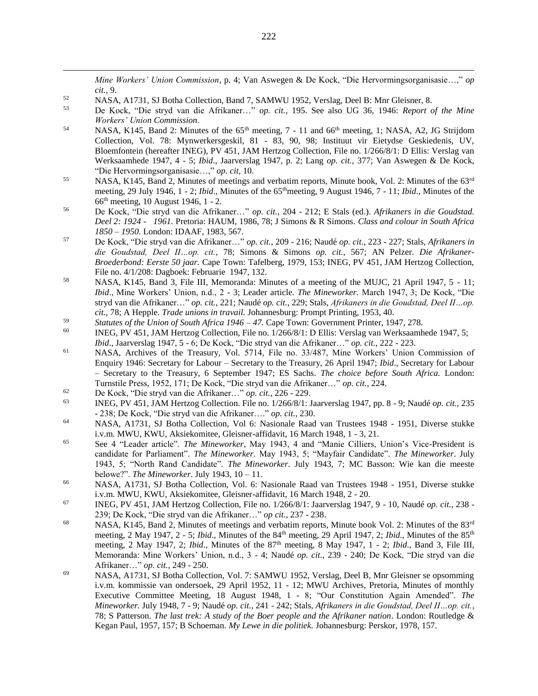*Mine Workers' Union Commission*, p. 4; Van Aswegen & De Kock, "Die Hervormingsorganisasie…," *op cit.*, 9.

- 52 NASA, A1731, SJ Botha Collection, Band 7, SAMWU 1952, Verslag, Deel B: Mnr Gleisner, 8.<br>53 De Kock, "Die stryd van die Afrikaner," en sit 105, See also UG 36, 1046; Benort s
- <sup>53</sup> De Kock, "Die stryd van die Afrikaner…" *op. cit.*, 195. See also UG 36, 1946: *Report of the Mine Workers' Union Commission*.
- 54 NASA, K145, Band 2: Minutes of the 65<sup>th</sup> meeting, 7 11 and 66<sup>th</sup> meeting, 1; NASA, A2, JG Strijdom Collection, Vol. 78: Mynwerkersgeskil, 81 - 83, 90, 98; Instituut vir Eietydse Geskiedenis, UV, Bloemfontein (hereafter INEG), PV 451, JAM Hertzog Collection, File no. 1/266/8/1: D Ellis: Verslag van Werksaamhede 1947, 4 - 5; *Ibid*., Jaarverslag 1947, p. 2; Lang *op. cit.*, 377; Van Aswegen & De Kock, "Die Hervormingsorganisasie…," *op. cit*, 10.
- <sup>55</sup> NASA, K145, Band 2, Minutes of meetings and verbatim reports, Minute book, Vol. 2: Minutes of the 63rd meeting, 29 July 1946, 1 - 2; *Ibid*., Minutes of the 65thmeeting, 9 August 1946, 7 - 11; *Ibid*., Minutes of the 66th meeting, 10 August 1946, 1 - 2.
- <sup>56</sup> De Kock, "Die stryd van die Afrikaner…" *op. cit.*, 204 212; E Stals (ed.). *Afrikaners in die Goudstad. Deel 2: 1924 - 1961.* Pretoria: HAUM, 1986, 78; J Simons & R Simons. *Class and colour in South Africa 1850 – 1950.* London: IDAAF, 1983, 567.
- <sup>57</sup> De Kock, "Die stryd van die Afrikaner…" *op. cit.*, 209 216; Naudé *op. cit.*, 223 227; Stals, *Afrikaners in die Goudstad, Deel II…op. cit.*, 78; Simons & Simons *op. cit.*, 567; AN Pelzer. *Die Afrikaner-Broederbond: Eerste 50 jaar.* Cape Town: Tafelberg, 1979, 153; INEG, PV 451, JAM Hertzog Collection, File no. 4/1/208: Dagboek: Februarie 1947, 132.
- <sup>58</sup> NASA, K145, Band 3, File III, Memoranda: Minutes of a meeting of the MUJC, 21 April 1947, 5 11; *Ibid*., Mine Workers' Union, n.d., 2 - 3; Leader article. *The Mineworker.* March 1947, 3; De Kock, "Die stryd van die Afrikaner…" *op. cit.*, 221; Naudé *op. cit.*, 229; Stals, *Afrikaners in die Goudstad, Deel II…op. cit.*, 78; A Hepple. *Trade unions in travail.* Johannesburg: Prompt Printing, 1953, 40.
- <sup>59</sup> *Statutes of the Union of South Africa 1946 – 47.* Cape Town: Government Printer, 1947, 278.
- <sup>60</sup> INEG, PV 451, JAM Hertzog Collection, File no. 1/266/8/1: D Ellis: Verslag van Werksaamhede 1947, 5; *Ibid*., Jaarverslag 1947, 5 - 6; De Kock, "Die stryd van die Afrikaner…" *op. cit.*, 222 - 223.
- <sup>61</sup> NASA, Archives of the Treasury, Vol. 5714, File no. 33/487, Mine Workers' Union Commission of Enquiry 1946: Secretary for Labour – Secretary to the Treasury, 26 April 1947; *Ibid*., Secretary for Labour – Secretary to the Treasury, 6 September 1947; ES Sachs. *The choice before South Africa.* London: Turnstile Press, 1952, 171; De Kock, "Die stryd van die Afrikaner…" *op. cit.*, 224.
- <sup>62</sup> De Kock, "Die stryd van die Afrikaner…" *op. cit.*, 226 229.

 $\overline{\phantom{a}}$ 

- <sup>63</sup> INEG, PV 451, JAM Hertzog Collection. File no. 1/266/8/1: Jaarverslag 1947, pp. 8 9; Naudé *op. cit.*, 235 - 238; De Kock, "Die stryd van die Afrikaner…." *op. cit.,* 230.
- <sup>64</sup> NASA, A1731, SJ Botha Collection, Vol 6: Nasionale Raad van Trustees 1948 1951, Diverse stukke i.v.m. MWU, KWU, Aksiekomitee, Gleisner-affidavit, 16 March 1948, 1 - 3, 21.
- <sup>65</sup> See 4 "Leader article". *The Mineworker*, May 1943, 4 and "Manie Cilliers, Union's Vice-President is candidate for Parliament". *The Mineworker*. May 1943, 5; "Mayfair Candidate". *The Mineworker*. July 1943, 5; "North Rand Candidate". *The Mineworker*. July 1943, 7; MC Basson: Wie kan die meeste belowe?". *The Mineworker*. July 1943, 10 – 11.
- <sup>66</sup> NASA, A1731, SJ Botha Collection, Vol. 6: Nasionale Raad van Trustees 1948 1951, Diverse stukke i.v.m. MWU, KWU, Aksiekomitee, Gleisner-affidavit, 16 March 1948, 2 - 20.
- <sup>67</sup> INEG, PV 451, JAM Hertzog Collection, File no. 1/266/8/1: Jaarverslag 1947, 9 10, Naudé *op. cit.*, 238 239; De Kock, "Die stryd van die Afrikaner…" *op cit.*, 237 - 238.
- <sup>68</sup> NASA, K145, Band 2, Minutes of meetings and verbatim reports, Minute book Vol. 2: Minutes of the 83rd meeting, 2 May 1947, 2 - 5; *Ibid.*, Minutes of the 84<sup>th</sup> meeting, 29 April 1947, 2; *Ibid.*, Minutes of the 85<sup>th</sup> meeting, 2 May 1947, 2; *Ibid.*, Minutes of the 87<sup>th</sup> meeting, 8 May 1947, 1 - 2; *Ibid.*, Band 3, File III, Memoranda: Mine Workers' Union, n.d., 3 - 4; Naudé *op. cit.*, 239 - 240; De Kock, "Die stryd van die Afrikaner…" *op. cit.*, 249 - 250.
- <sup>69</sup> NASA, A1731, SJ Botha Collection, Vol. 7: SAMWU 1952, Verslag, Deel B, Mnr Gleisner se opsomming i.v.m. kommissie van ondersoek, 29 April 1952, 11 - 12; MWU Archives, Pretoria, Minutes of monthly Executive Committee Meeting, 18 August 1948, 1 - 8; "Our Constitution Again Amended". *The Mineworker.* July 1948, 7 - 9; Naudé *op. cit.*, 241 - 242; Stals, *Afrikaners in die Goudstad, Deel II…op. cit.*, 78; S Patterson. *The last trek: A study of the Boer people and the Afrikaner nation*. London: Routledge & Kegan Paul, 1957, 157; B Schoeman. *My Lewe in die politiek.* Johannesburg: Perskor, 1978, 157.